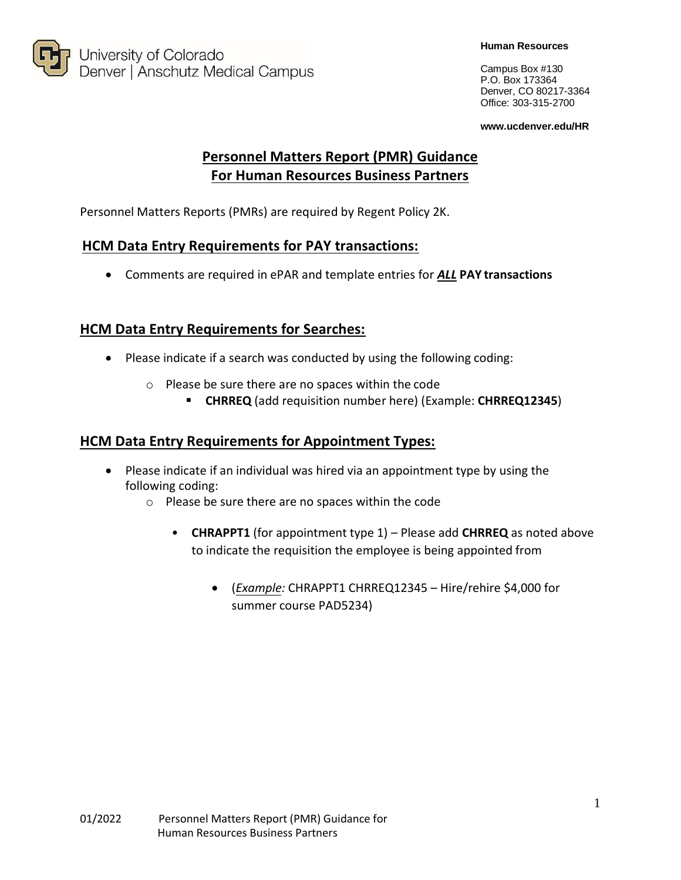

Campus Box #130 P.O. Box 173364 Denver, CO 80217-3364 Office: 303-315-2700

**[www.ucdenver.edu/HR](http://www.ucdenver.edu/HR)**

# **Personnel Matters Report (PMR) Guidance For Human Resources Business Partners**

Personnel Matters Reports (PMRs) are required by Regent Policy 2K.

### **HCM Data Entry Requirements for PAY transactions:**

Comments are required in ePAR and template entries for *ALL* **PAY transactions**

## **HCM Data Entry Requirements for Searches:**

- Please indicate if a search was conducted by using the following coding:
	- o Please be sure there are no spaces within the code
		- **CHRREQ** (add requisition number here) (Example: **CHRREQ12345**)

### **HCM Data Entry Requirements for Appointment Types:**

- Please indicate if an individual was hired via an appointment type by using the following coding:
	- o Please be sure there are no spaces within the code
		- **CHRAPPT1** (for appointment type 1) Please add **CHRREQ** as noted above to indicate the requisition the employee is being appointed from
			- (*Example:* CHRAPPT1 CHRREQ12345 Hire/rehire \$4,000 for summer course PAD5234)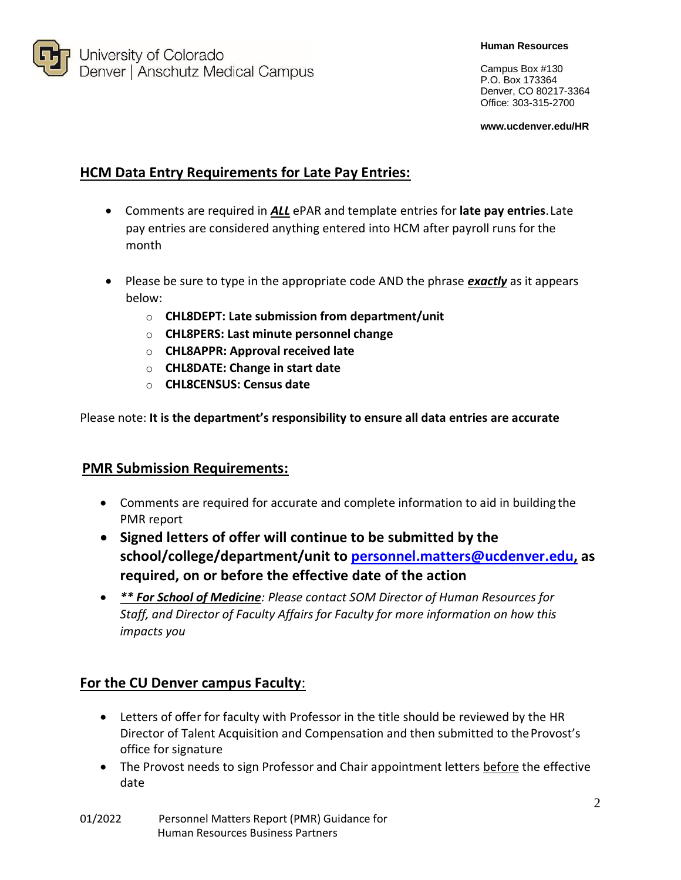

#### **Human Resources**

Campus Box #130 P.O. Box 173364 Denver, CO 80217-3364 Office: 303-315-2700

**[www.ucdenver.edu/HR](http://www.ucdenver.edu/HR)**

## **HCM Data Entry Requirements for Late Pay Entries:**

- Comments are required in *ALL* ePAR and template entries for **late pay entries**.Late pay entries are considered anything entered into HCM after payroll runs for the month
- Please be sure to type in the appropriate code AND the phrase *exactly* as it appears below:
	- o **CHL8DEPT: Late submission from department/unit**
	- o **CHL8PERS: Last minute personnel change**
	- o **CHL8APPR: Approval received late**
	- o **CHL8DATE: Change in start date**
	- o **CHL8CENSUS: Census date**

Please note: **It is the department's responsibility to ensure all data entries are accurate**

### **PMR Submission Requirements:**

- Comments are required for accurate and complete information to aid in building the PMR report
- **Signed letters of offer will continue to be submitted by the school/college/department/unit to [personnel.matters@ucdenver.edu,](mailto:personnel.matters@ucdenver.edu) as required, on or before the effective date of the action**
- *\*\* For School of Medicine: Please contact SOM Director of Human Resources for Staff, and Director of Faculty Affairs for Faculty for more information on how this impacts you*

### **For the CU Denver campus Faculty**:

- Letters of offer for faculty with Professor in the title should be reviewed by the HR Director of Talent Acquisition and Compensation and then submitted to the Provost's office for signature
- The Provost needs to sign Professor and Chair appointment letters before the effective date